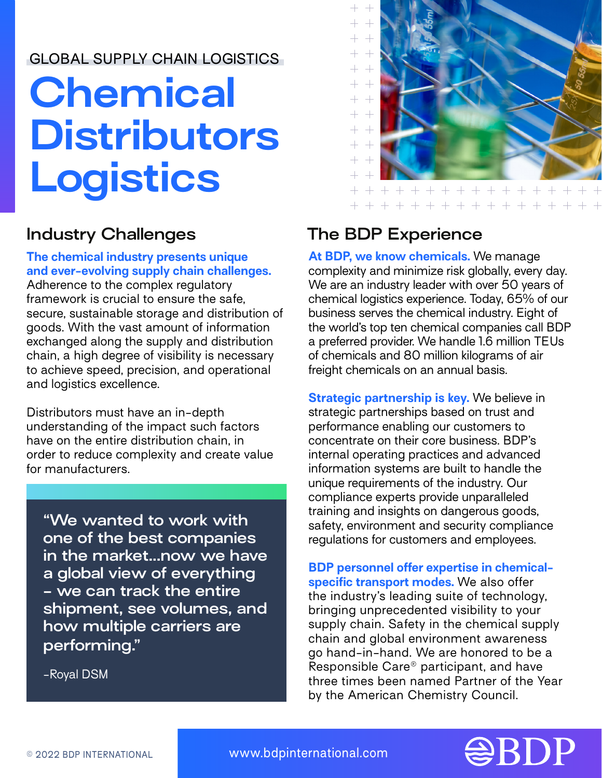## GLOBAL SUPPLY CHAIN LOGISTICS

# **Chemical Distributors Logistics**

#### **The chemical industry presents unique and ever-evolving supply chain challenges.**

Adherence to the complex regulatory framework is crucial to ensure the safe, secure, sustainable storage and distribution of goods. With the vast amount of information exchanged along the supply and distribution chain, a high degree of visibility is necessary to achieve speed, precision, and operational and logistics excellence.

Distributors must have an in-depth understanding of the impact such factors have on the entire distribution chain, in order to reduce complexity and create value for manufacturers.

**"We wanted to work with one of the best companies in the market...now we have a global view of everything - we can track the entire shipment, see volumes, and how multiple carriers are performing."**

-Royal DSM



# **Industry Challenges The BDP Experience**

**At BDP, we know chemicals.** We manage complexity and minimize risk globally, every day. We are an industry leader with over 50 years of chemical logistics experience. Today, 65% of our business serves the chemical industry. Eight of the world's top ten chemical companies call BDP a preferred provider. We handle 1.6 million TEUs of chemicals and 80 million kilograms of air freight chemicals on an annual basis.

**Strategic partnership is key.** We believe in strategic partnerships based on trust and performance enabling our customers to concentrate on their core business. BDP's internal operating practices and advanced information systems are built to handle the unique requirements of the industry. Our compliance experts provide unparalleled training and insights on dangerous goods, safety, environment and security compliance regulations for customers and employees.

**BDP personnel offer expertise in chemicalspecific transport modes.** We also offer the industry's leading suite of technology, bringing unprecedented visibility to your supply chain. Safety in the chemical supply chain and global environment awareness go hand-in-hand. We are honored to be a Responsible Care® participant, and have three times been named Partner of the Year by the American Chemistry Council.